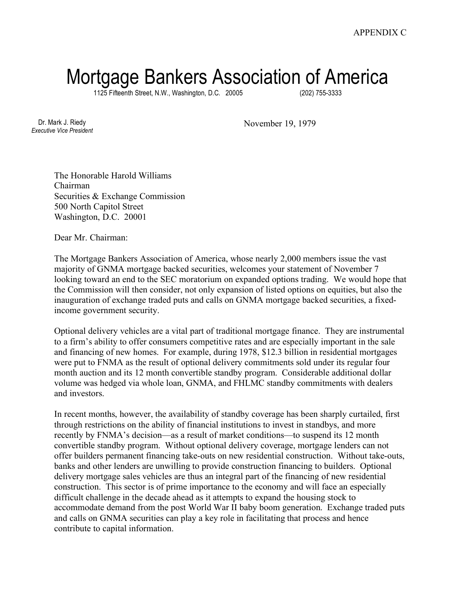## Mortgage Bankers Association of America

1125 Fifteenth Street, N.W., Washington, D.C. 20005 (202) 755-3333

Dr. Mark J. Riedy *Executive Vice President* November 19, 1979

The Honorable Harold Williams Chairman Securities & Exchange Commission 500 North Capitol Street Washington, D.C. 20001

Dear Mr. Chairman:

The Mortgage Bankers Association of America, whose nearly 2,000 members issue the vast majority of GNMA mortgage backed securities, welcomes your statement of November 7 looking toward an end to the SEC moratorium on expanded options trading. We would hope that the Commission will then consider, not only expansion of listed options on equities, but also the inauguration of exchange traded puts and calls on GNMA mortgage backed securities, a fixedincome government security.

Optional delivery vehicles are a vital part of traditional mortgage finance. They are instrumental to a firm's ability to offer consumers competitive rates and are especially important in the sale and financing of new homes. For example, during 1978, \$12.3 billion in residential mortgages were put to FNMA as the result of optional delivery commitments sold under its regular four month auction and its 12 month convertible standby program. Considerable additional dollar volume was hedged via whole loan, GNMA, and FHLMC standby commitments with dealers and investors.

In recent months, however, the availability of standby coverage has been sharply curtailed, first through restrictions on the ability of financial institutions to invest in standbys, and more recently by FNMA's decision—as a result of market conditions—to suspend its 12 month convertible standby program. Without optional delivery coverage, mortgage lenders can not offer builders permanent financing take-outs on new residential construction. Without take-outs, banks and other lenders are unwilling to provide construction financing to builders. Optional delivery mortgage sales vehicles are thus an integral part of the financing of new residential construction. This sector is of prime importance to the economy and will face an especially difficult challenge in the decade ahead as it attempts to expand the housing stock to accommodate demand from the post World War II baby boom generation. Exchange traded puts and calls on GNMA securities can play a key role in facilitating that process and hence contribute to capital information.